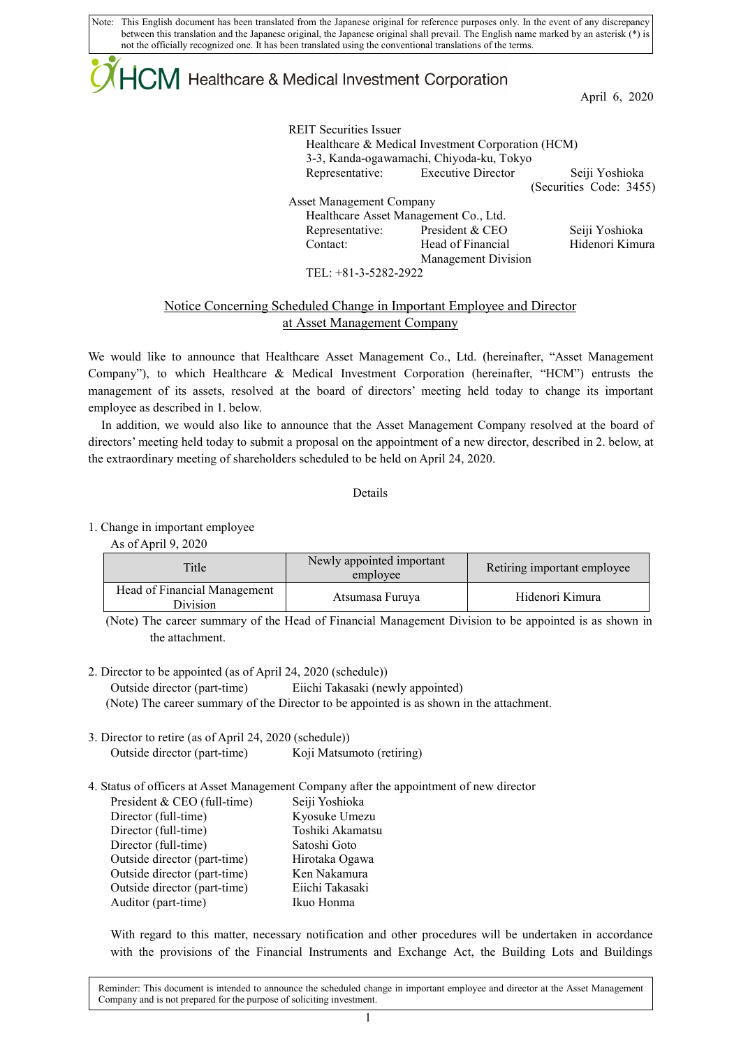Note: This English document has been translated from the Japanese original for reference purposes only. In the event of any discrepancy between this translation and the Japanese original, the Japanese original shall prevail. The English name marked by an asterisk (\*) is not the officially recognized one. It has been translated using the conventional translations of the terms.

# $+C\mathsf{M}$  Healthcare & Medical Investment Corporation

April 6, 2020

| <b>REIT Securities Issuer</b>   |                                                   |                         |
|---------------------------------|---------------------------------------------------|-------------------------|
|                                 | Healthcare & Medical Investment Corporation (HCM) |                         |
|                                 | 3-3, Kanda-ogawamachi, Chiyoda-ku, Tokyo          |                         |
|                                 | Representative: Executive Director                | Seiji Yoshioka          |
|                                 |                                                   | (Securities Code: 3455) |
| <b>Asset Management Company</b> |                                                   |                         |
|                                 | Healthcare Asset Management Co., Ltd.             |                         |
|                                 | Representative: President & CEO                   | Seiji Yoshioka          |
| Contact:                        | Head of Financial                                 | Hidenori Kimura         |
|                                 | Management Division                               |                         |
| TEL: $+81-3-5282-2922$          |                                                   |                         |

### Notice Concerning Scheduled Change in Important Employee and Director at Asset Management Company

We would like to announce that Healthcare Asset Management Co., Ltd. (hereinafter, "Asset Management Company"), to which Healthcare & Medical Investment Corporation (hereinafter, "HCM") entrusts the management of its assets, resolved at the board of directors' meeting held today to change its important employee as described in 1. below.

In addition, we would also like to announce that the Asset Management Company resolved at the board of directors' meeting held today to submit a proposal on the appointment of a new director, described in 2. below, at the extraordinary meeting of shareholders scheduled to be held on April 24, 2020.

#### Details

1. Change in important employee

As of April 9, 2020

| Title                                     | Newly appointed important<br>employee | Retiring important employee |
|-------------------------------------------|---------------------------------------|-----------------------------|
| Head of Financial Management<br>Division. | Atsumasa Furuya                       | Hidenori Kimura             |

(Note) The career summary of the Head of Financial Management Division to be appointed is as shown in the attachment.

2. Director to be appointed (as of April 24, 2020 (schedule)) Outside director (part-time) Eiichi Takasaki (newly appointed) (Note) The career summary of the Director to be appointed is as shown in the attachment.

- 3. Director to retire (as of April 24, 2020 (schedule)) Outside director (part-time) Koji Matsumoto (retiring)
- 4. Status of officers at Asset Management Company after the appointment of new director

| President & CEO (full-time)  | Seiji Yoshioka   |
|------------------------------|------------------|
| Director (full-time)         | Kyosuke Umezu    |
| Director (full-time)         | Toshiki Akamatsu |
| Director (full-time)         | Satoshi Goto     |
| Outside director (part-time) | Hirotaka Ogawa   |
| Outside director (part-time) | Ken Nakamura     |
| Outside director (part-time) | Eiichi Takasaki  |
| Auditor (part-time)          | Ikuo Honma       |
|                              |                  |

With regard to this matter, necessary notification and other procedures will be undertaken in accordance with the provisions of the Financial Instruments and Exchange Act, the Building Lots and Buildings

Reminder: This document is intended to announce the scheduled change in important employee and director at the Asset Management Company and is not prepared for the purpose of soliciting investment.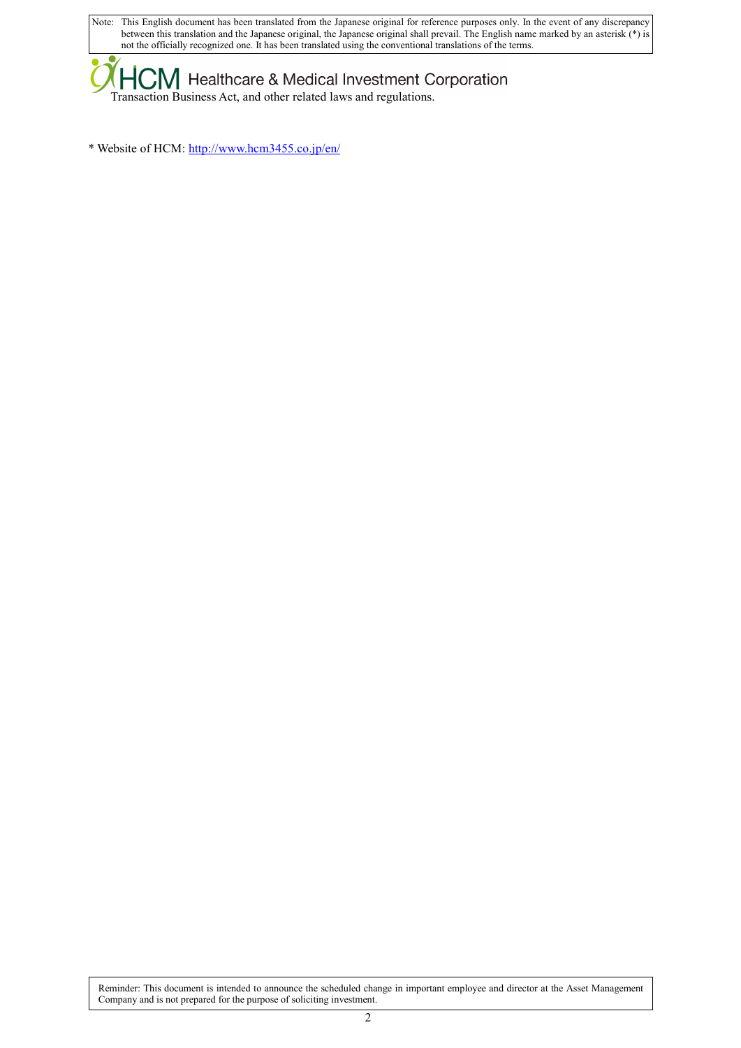Note: This English document has been translated from the Japanese original for reference purposes only. In the event of any discrepancy between this translation and the Japanese original, the Japanese original shall prevail. The English name marked by an asterisk (\*) is not the officially recognized one. It has been translated using the conventional translations of the terms.

**KHCM** Healthcare & Medical Investment Corporation Transaction Business Act, and other related laws and regulations.

\* Website of HCM[: http://www.hcm3455.co.jp/en/](http://www.hcm3455.co.jp/en/)

Reminder: This document is intended to announce the scheduled change in important employee and director at the Asset Management Company and is not prepared for the purpose of soliciting investment.